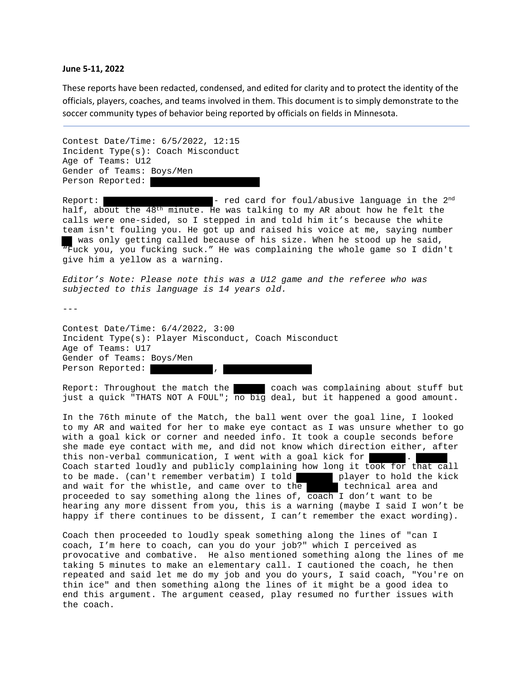## **June 5‐11, 2022**

These reports have been redacted, condensed, and edited for clarity and to protect the identity of the officials, players, coaches, and teams involved in them. This document is to simply demonstrate to the soccer community types of behavior being reported by officials on fields in Minnesota.

Contest Date/Time: 6/5/2022, 12:15 Incident Type(s): Coach Misconduct Age of Teams: U12 Gender of Teams: Boys/Men Person Reported:

Report:  $\blacksquare$  - red card for foul/abusive language in the 2<sup>nd</sup> half, about the  $48<sup>th</sup>$  minute. He was talking to my AR about how he felt the calls were one-sided, so I stepped in and told him it's because the white team isn't fouling you. He got up and raised his voice at me, saying number was only getting called because of his size. When he stood up he said, "Fuck you, you fucking suck." He was complaining the whole game so I didn't give him a yellow as a warning.

*Editor's Note: Please note this was a U12 game and the referee who was subjected to this language is 14 years old.* 

 $--$ 

Contest Date/Time: 6/4/2022, 3:00 Incident Type(s): Player Misconduct, Coach Misconduct Age of Teams: U17 Gender of Teams: Boys/Men Person Reported:

Report: Throughout the match the coach was complaining about stuff but just a quick "THATS NOT A FOUL"; no big deal, but it happened a good amount.

In the 76th minute of the Match, the ball went over the goal line, I looked to my AR and waited for her to make eye contact as I was unsure whether to go with a goal kick or corner and needed info. It took a couple seconds before she made eye contact with me, and did not know which direction either, after this non-verbal communication, I went with a goal kick for Coach started loudly and publicly complaining how long it took for that call to be made. (can't remember verbatim) I told player to hold the kick<br>and wait for the whistle, and came over to the technical area and and wait for the whistle, and came over to the proceeded to say something along the lines of,  $\overline{coach}$  I don't want to be hearing any more dissent from you, this is a warning (maybe I said I won't be happy if there continues to be dissent, I can't remember the exact wording).

Coach then proceeded to loudly speak something along the lines of "can I coach, I'm here to coach, can you do your job?" which I perceived as provocative and combative. He also mentioned something along the lines of me taking 5 minutes to make an elementary call. I cautioned the coach, he then repeated and said let me do my job and you do yours, I said coach, "You're on thin ice" and then something along the lines of it might be a good idea to end this argument. The argument ceased, play resumed no further issues with the coach.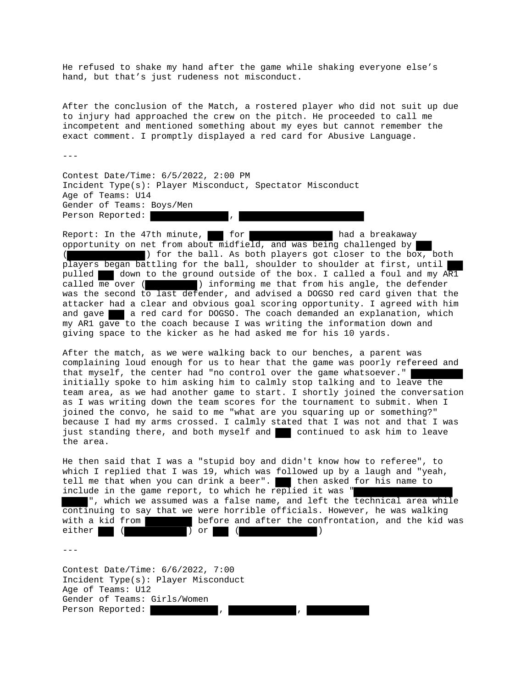He refused to shake my hand after the game while shaking everyone else's hand, but that's just rudeness not misconduct.

After the conclusion of the Match, a rostered player who did not suit up due to injury had approached the crew on the pitch. He proceeded to call me incompetent and mentioned something about my eyes but cannot remember the exact comment. I promptly displayed a red card for Abusive Language.

---

Contest Date/Time: 6/5/2022, 2:00 PM Incident Type(s): Player Misconduct, Spectator Misconduct Age of Teams: U14 Gender of Teams: Boys/Men Person Reported:

Report: In the 47th minute, for for had a breakaway opportunity on net from about midfield, and was being challenged by ) for the ball. As both players got closer to the box, both players began battling for the ball, shoulder to shoulder at first, until pulled down to the ground outside of the box. I called a foul and my AR1 called me over ( $\blacksquare$ ) informing me that from his angle, the defender ) informing me that from his angle, the defender was the second to last defender, and advised a DOGSO red card given that the attacker had a clear and obvious goal scoring opportunity. I agreed with him and gave a red card for DOGSO. The coach demanded an explanation, which my AR1 gave to the coach because I was writing the information down and giving space to the kicker as he had asked me for his 10 yards.

After the match, as we were walking back to our benches, a parent was complaining loud enough for us to hear that the game was poorly refereed and that myself, the center had "no control over the game whatsoever." initially spoke to him asking him to calmly stop talking and to leave the team area, as we had another game to start. I shortly joined the conversation as I was writing down the team scores for the tournament to submit. When I joined the convo, he said to me "what are you squaring up or something?" because I had my arms crossed. I calmly stated that I was not and that I was just standing there, and both myself and continued to ask him to leave the area.

He then said that I was a "stupid boy and didn't know how to referee", to which I replied that I was 19, which was followed up by a laugh and "yeah, tell me that when you can drink a beer". Ithen asked for his name to include in the game report, to which he replied it was  $"$ ", which we assumed was a false name, and left the technical area while continuing to say that we were horrible officials. However, he was walking with a kid from before and after the confrontation, and the kid was either (  $\overline{)}$  or ( )

 $-$ - $-$ 

Contest Date/Time: 6/6/2022, 7:00 Incident Type(s): Player Misconduct Age of Teams: U12 Gender of Teams: Girls/Women Person Reported: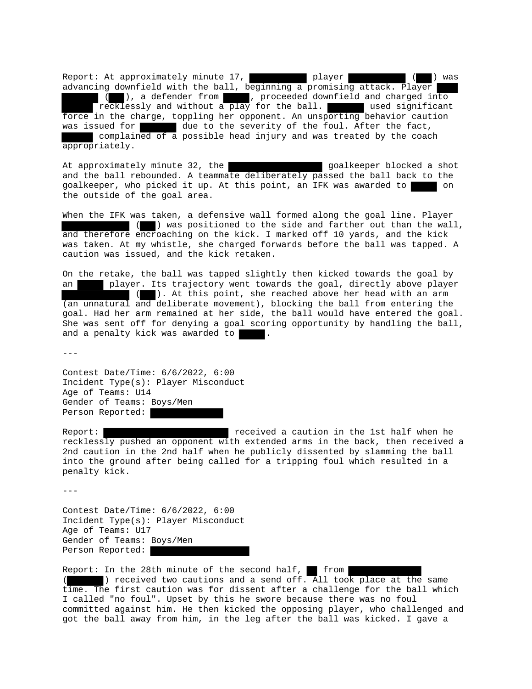Report: At approximately minute 17, player ( ) was advancing downfield with the ball, beginning a promising attack. Player ( ), a defender from , proceeded downfield and charged into Trecklessly and without a play for the ball. The used significant force in the charge, toppling her opponent. An unsporting behavior caution was issued for due to the severity of the foul. After the fact, complained of a possible head injury and was treated by the coach appropriately.

At approximately minute 32, the state of the goalkeeper blocked a shot and the ball rebounded. A teammate deliberately passed the ball back to the goalkeeper, who picked it up. At this point, an IFK was awarded to the outside of the goal area.

When the IFK was taken, a defensive wall formed along the goal line. Player ( ) was positioned to the side and farther out than the wall, and therefore encroaching on the kick. I marked off 10 yards, and the kick was taken. At my whistle, she charged forwards before the ball was tapped. A caution was issued, and the kick retaken.

On the retake, the ball was tapped slightly then kicked towards the goal by an player. Its trajectory went towards the goal, directly above player ( ). At this point, she reached above her head with an arm (an unnatural and deliberate movement), blocking the ball from entering the goal. Had her arm remained at her side, the ball would have entered the goal. She was sent off for denying a goal scoring opportunity by handling the ball, and a penalty kick was awarded to

---

Contest Date/Time: 6/6/2022, 6:00 Incident Type(s): Player Misconduct Age of Teams: U14 Gender of Teams: Boys/Men Person Reported:

Report: **Report:** received a caution in the 1st half when he recklessly pushed an opponent with extended arms in the back, then received a 2nd caution in the 2nd half when he publicly dissented by slamming the ball into the ground after being called for a tripping foul which resulted in a penalty kick.

 $---$ 

Contest Date/Time: 6/6/2022, 6:00 Incident Type(s): Player Misconduct Age of Teams: U17 Gender of Teams: Boys/Men Person Reported:

Report: In the 28th minute of the second half,  $\blacksquare$  from ( ) received two cautions and a send off. All took place at the same time. The first caution was for dissent after a challenge for the ball which I called "no foul". Upset by this he swore because there was no foul committed against him. He then kicked the opposing player, who challenged and got the ball away from him, in the leg after the ball was kicked. I gave a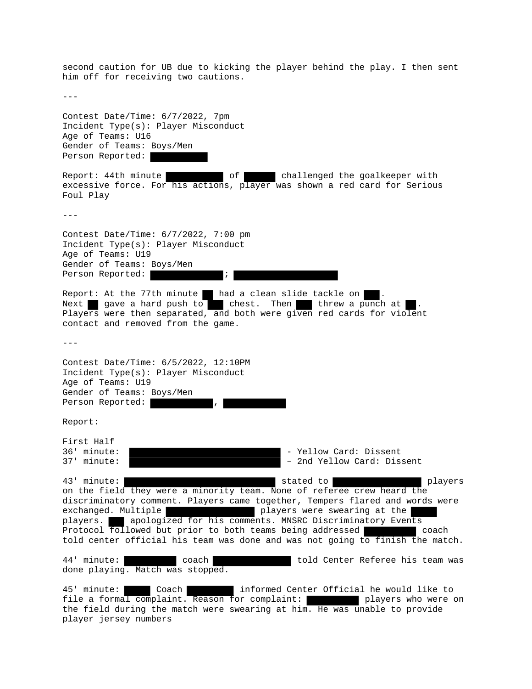second caution for UB due to kicking the player behind the play. I then sent him off for receiving two cautions. --- Contest Date/Time: 6/7/2022, 7pm Incident Type(s): Player Misconduct Age of Teams: U16 Gender of Teams: Boys/Men Person Reported: Report: 44th minute of challenged the goalkeeper with excessive force. For his actions, player was shown a red card for Serious Foul Play  $---$ Contest Date/Time: 6/7/2022, 7:00 pm Incident Type(s): Player Misconduct Age of Teams: U19 Gender of Teams: Boys/Men Person Reported:  $\begin{array}{ccc} \hline \end{array}$  ; Report: At the 77th minute had a clean slide tackle on Next gave a hard push to chest. Then threw a punch at Players were then separated, and both were given red cards for violent contact and removed from the game.  $---$ Contest Date/Time: 6/5/2022, 12:10PM Incident Type(s): Player Misconduct Age of Teams: U19 Gender of Teams: Boys/Men Person Reported: Report: First Half 36' minute:  $\qquad \qquad$  - Yellow Card: Dissent 37' minute: – 2nd Yellow Card: Dissent 43' minute: stated to players on the field they were a minority team. None of referee crew heard the discriminatory comment. Players came together, Tempers flared and words were exchanged. Multiple players were swearing at the players. apologized for his comments. MNSRC Discriminatory Events Protocol followed but prior to both teams being addressed told center official his team was done and was not going to finish the match. 44' minute: coach coach told Center Referee his team was done playing. Match was stopped. 45' minute: Coach informed Center Official he would like to file a formal complaint. Reason for complaint: players who were on the field during the match were swearing at him. He was unable to provide player jersey numbers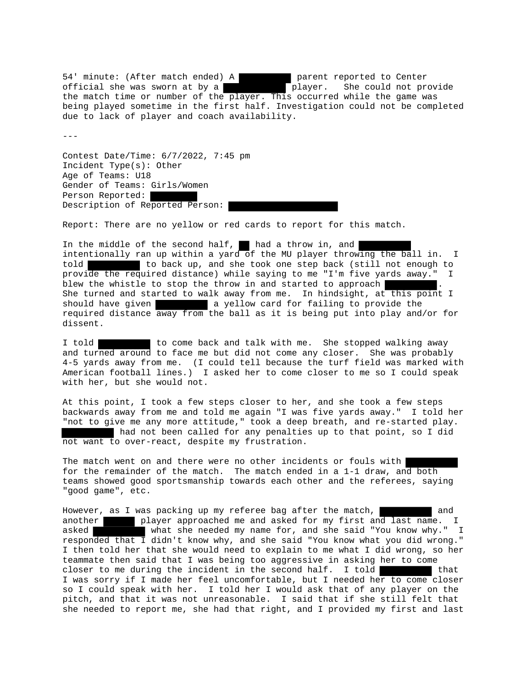54' minute: (After match ended) A parent reported to Center official she was sworn at by a player. She could not provide the match time or number of the player. This occurred while the game was being played sometime in the first half. Investigation could not be completed due to lack of player and coach availability.

 $-$ 

Contest Date/Time: 6/7/2022, 7:45 pm Incident Type(s): Other Age of Teams: U18 Gender of Teams: Girls/Women Person Reported: Description of Reported Person:

Report: There are no yellow or red cards to report for this match.

In the middle of the second half,  $\blacksquare$  had a throw in, and intentionally ran up within a yard of the MU player throwing the ball in. I told to back up, and she took one step back (still not enough to provide the required distance) while saying to me "I'm five yards away." I blew the whistle to stop the throw in and started to approach She turned and started to walk away from me. In hindsight, at this point I should have given **a** vellow card for failing to provide the required distance away from the ball as it is being put into play and/or for dissent.

I told **to come back and talk with me.** She stopped walking away and turned around to face me but did not come any closer. She was probably 4-5 yards away from me. (I could tell because the turf field was marked with American football lines.) I asked her to come closer to me so I could speak with her, but she would not.

At this point, I took a few steps closer to her, and she took a few steps backwards away from me and told me again "I was five yards away." I told her "not to give me any more attitude," took a deep breath, and re-started play. had not been called for any penalties up to that point, so I did not want to over-react, despite my frustration.

The match went on and there were no other incidents or fouls with for the remainder of the match. The match ended in a 1-1 draw, and both teams showed good sportsmanship towards each other and the referees, saying "good game", etc.

However, as I was packing up my referee bag after the match, and and another player approached me and asked for my first and last name. I asked what she needed my name for, and she said "You know why." I responded that I didn't know why, and she said "You know what you did wrong." I then told her that she would need to explain to me what I did wrong, so her teammate then said that I was being too aggressive in asking her to come closer to me during the incident in the second half. I told  $\blacksquare$  that I was sorry if I made her feel uncomfortable, but I needed her to come closer so I could speak with her. I told her I would ask that of any player on the pitch, and that it was not unreasonable. I said that if she still felt that she needed to report me, she had that right, and I provided my first and last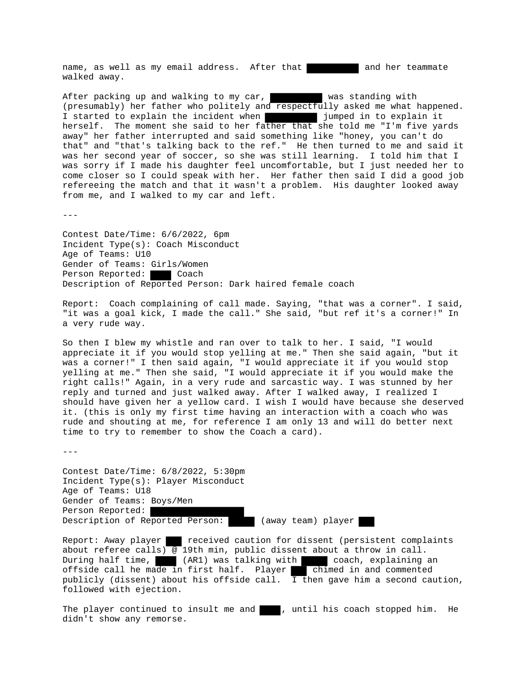name, as well as my email address. After that and her teammate walked away.

After packing up and walking to my car, was standing with (presumably) her father who politely and respectfully asked me what happened. I started to explain the incident when jumped in to explain it herself. The moment she said to her father that she told me "I'm five yards away" her father interrupted and said something like "honey, you can't do that" and "that's talking back to the ref." He then turned to me and said it was her second year of soccer, so she was still learning. I told him that I was sorry if I made his daughter feel uncomfortable, but I just needed her to come closer so I could speak with her. Her father then said I did a good job refereeing the match and that it wasn't a problem. His daughter looked away from me, and I walked to my car and left.

 $- - -$ 

Contest Date/Time: 6/6/2022, 6pm Incident Type(s): Coach Misconduct Age of Teams: U10 Gender of Teams: Girls/Women Person Reported: Coach Description of Reported Person: Dark haired female coach

Report: Coach complaining of call made. Saying, "that was a corner". I said, "it was a goal kick, I made the call." She said, "but ref it's a corner!" In a very rude way.

So then I blew my whistle and ran over to talk to her. I said, "I would appreciate it if you would stop yelling at me." Then she said again, "but it was a corner!" I then said again, "I would appreciate it if you would stop yelling at me." Then she said, "I would appreciate it if you would make the right calls!" Again, in a very rude and sarcastic way. I was stunned by her reply and turned and just walked away. After I walked away, I realized I should have given her a yellow card. I wish I would have because she deserved it. (this is only my first time having an interaction with a coach who was rude and shouting at me, for reference I am only 13 and will do better next time to try to remember to show the Coach a card).

 $- - -$ 

Contest Date/Time: 6/8/2022, 5:30pm Incident Type(s): Player Misconduct Age of Teams: U18 Gender of Teams: Boys/Men Person Reported: Description of Reported Person: (away team) player

Report: Away player received caution for dissent (persistent complaints about referee calls) @ 19th min, public dissent about a throw in call. During half time, (AR1) was talking with coach, explaining an offside call he made in first half. Player chimed in and commented publicly (dissent) about his offside call.  $\overline{I}$  then gave him a second caution, followed with ejection.

The player continued to insult me and  $\blacksquare$ , until his coach stopped him. He didn't show any remorse.